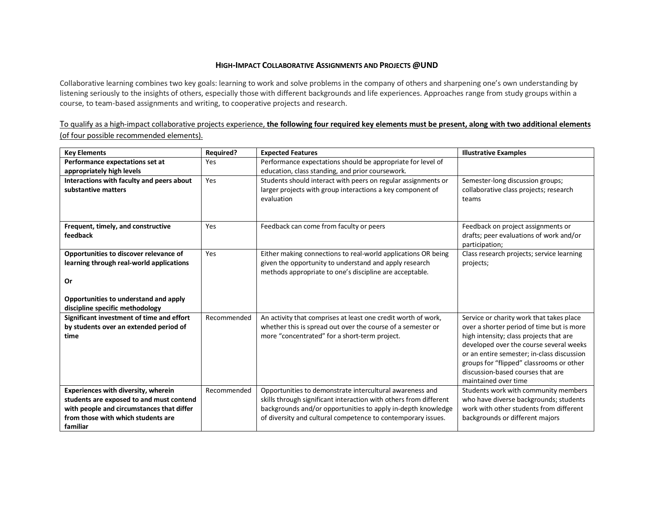## **HIGH-IMPACT COLLABORATIVE ASSIGNMENTS AND PROJECTS @UND**

Collaborative learning combines two key goals: learning to work and solve problems in the company of others and sharpening one's own understanding by listening seriously to the insights of others, especially those with different backgrounds and life experiences. Approaches range from study groups within a course, to team-based assignments and writing, to cooperative projects and research.

## To qualify as a high-impact collaborative projects experience, **the following four required key elements must be present, along with two additional elements**  (of four possible recommended elements).

| <b>Key Elements</b>                            | <b>Required?</b> | <b>Expected Features</b>                                                                                     | <b>Illustrative Examples</b>                                                         |
|------------------------------------------------|------------------|--------------------------------------------------------------------------------------------------------------|--------------------------------------------------------------------------------------|
| Performance expectations set at                | Yes              | Performance expectations should be appropriate for level of                                                  |                                                                                      |
| appropriately high levels                      |                  | education, class standing, and prior coursework.                                                             |                                                                                      |
| Interactions with faculty and peers about      | Yes              | Students should interact with peers on regular assignments or                                                | Semester-long discussion groups;                                                     |
| substantive matters                            |                  | larger projects with group interactions a key component of                                                   | collaborative class projects; research                                               |
|                                                |                  | evaluation                                                                                                   | teams                                                                                |
|                                                |                  |                                                                                                              |                                                                                      |
| Frequent, timely, and constructive             | Yes              | Feedback can come from faculty or peers                                                                      | Feedback on project assignments or                                                   |
| feedback                                       |                  |                                                                                                              | drafts; peer evaluations of work and/or                                              |
|                                                |                  |                                                                                                              | participation;                                                                       |
| Opportunities to discover relevance of         | Yes              | Either making connections to real-world applications OR being                                                | Class research projects; service learning                                            |
| learning through real-world applications       |                  | given the opportunity to understand and apply research                                                       | projects;                                                                            |
|                                                |                  | methods appropriate to one's discipline are acceptable.                                                      |                                                                                      |
| Or                                             |                  |                                                                                                              |                                                                                      |
|                                                |                  |                                                                                                              |                                                                                      |
| Opportunities to understand and apply          |                  |                                                                                                              |                                                                                      |
| discipline specific methodology                |                  |                                                                                                              |                                                                                      |
| Significant investment of time and effort      | Recommended      | An activity that comprises at least one credit worth of work,                                                | Service or charity work that takes place                                             |
| by students over an extended period of<br>time |                  | whether this is spread out over the course of a semester or<br>more "concentrated" for a short-term project. | over a shorter period of time but is more<br>high intensity; class projects that are |
|                                                |                  |                                                                                                              | developed over the course several weeks                                              |
|                                                |                  |                                                                                                              | or an entire semester; in-class discussion                                           |
|                                                |                  |                                                                                                              | groups for "flipped" classrooms or other                                             |
|                                                |                  |                                                                                                              | discussion-based courses that are                                                    |
|                                                |                  |                                                                                                              | maintained over time                                                                 |
| Experiences with diversity, wherein            | Recommended      | Opportunities to demonstrate intercultural awareness and                                                     | Students work with community members                                                 |
| students are exposed to and must contend       |                  | skills through significant interaction with others from different                                            | who have diverse backgrounds; students                                               |
| with people and circumstances that differ      |                  | backgrounds and/or opportunities to apply in-depth knowledge                                                 | work with other students from different                                              |
| from those with which students are             |                  | of diversity and cultural competence to contemporary issues.                                                 | backgrounds or different majors                                                      |
| familiar                                       |                  |                                                                                                              |                                                                                      |